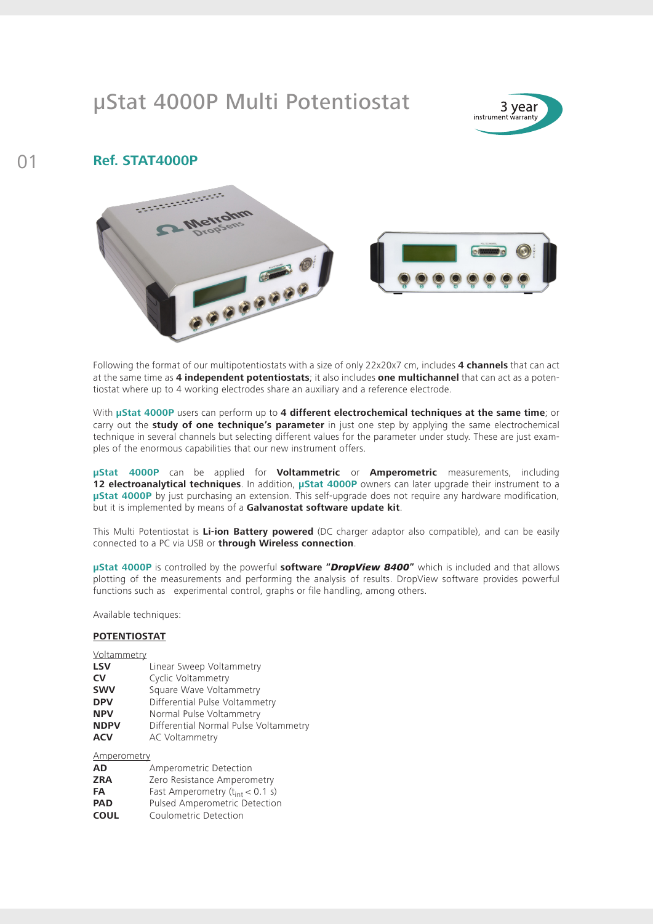## µStat 4000P Multi Potentiostat



## 01 **Ref. STAT4000P**



Following the format of our multipotentiostats with a size of only 22x20x7 cm, includes **4 channels** that can act at the same time as **4 independent potentiostats**; it also includes **one multichannel** that can act as a potentiostat where up to 4 working electrodes share an auxiliary and a reference electrode.

With **µStat 4000P** users can perform up to **4 different electrochemical techniques at the same time**; or carry out the **study of one technique's parameter** in just one step by applying the same electrochemical technique in several channels but selecting different values for the parameter under study. These are just examples of the enormous capabilities that our new instrument offers.

**µStat 4000P** can be applied for **Voltammetric** or **Amperometric** measurements, including **12 electroanalytical techniques**. In addition, **µStat 4000P** owners can later upgrade their instrument to a **µStat 4000P** by just purchasing an extension. This self-upgrade does not require any hardware modification, but it is implemented by means of a **Galvanostat software update kit**.

This Multi Potentiostat is **Li-ion Battery powered** (DC charger adaptor also compatible), and can be easily connected to a PC via USB or **through Wireless connection**.

**µStat 4000P** is controlled by the powerful **software "***DropView 8400***"** which is included and that allows plotting of the measurements and performing the analysis of results. DropView software provides powerful functions such as experimental control, graphs or file handling, among others.

Available techniques:

## **POTENTIOSTAT**

| Voltammetry |                                       |
|-------------|---------------------------------------|
| <b>LSV</b>  | Linear Sweep Voltammetry              |
| <b>CV</b>   | <b>Cyclic Voltammetry</b>             |
| <b>SWV</b>  | Square Wave Voltammetry               |
| <b>DPV</b>  | Differential Pulse Voltammetry        |
| <b>NPV</b>  | Normal Pulse Voltammetry              |
| <b>NDPV</b> | Differential Normal Pulse Voltammetry |
| ACV         | <b>AC Voltammetry</b>                 |

Amperometry

| <b>AD</b>   | Amperometric Detection               |
|-------------|--------------------------------------|
| <b>ZRA</b>  | Zero Resistance Amperometry          |
| FA          | Fast Amperometry $(t_{int} < 0.1 s)$ |
| <b>PAD</b>  | <b>Pulsed Amperometric Detection</b> |
| <b>COUL</b> | Coulometric Detection                |